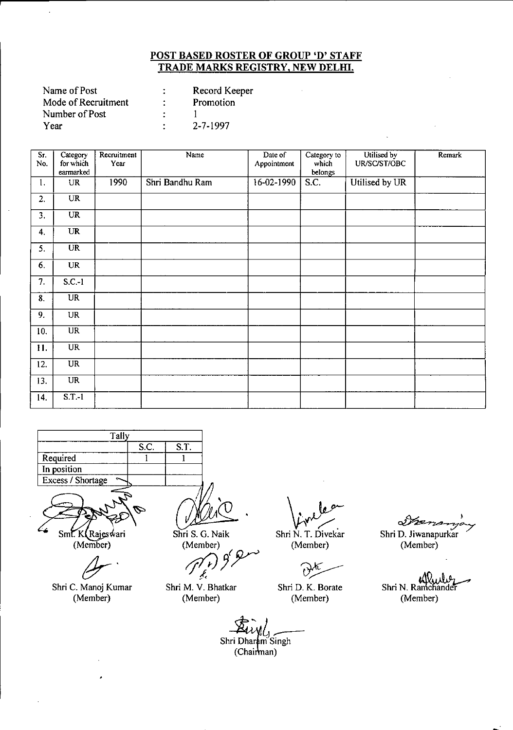| Record Keeper  |
|----------------|
| Promotion      |
|                |
| $2 - 7 - 1997$ |
|                |

| Sr.<br>No. | Category<br>for which  | Recruitment<br>Year | Name            | Date of<br>Appointment | Category to<br>which | Utilised by<br>UR/SC/ST/OBC | Remark |
|------------|------------------------|---------------------|-----------------|------------------------|----------------------|-----------------------------|--------|
|            | earmarked              |                     |                 |                        | belongs              |                             |        |
| 1.         | <b>UR</b>              | 1990                | Shri Bandhu Ram | 16-02-1990             | $\overline{S}$ .C.   | Utilised by UR              |        |
| 2.         | <b>UR</b>              |                     |                 |                        |                      |                             |        |
| 3.         | <b>UR</b>              |                     |                 |                        |                      |                             |        |
| 4.         | UR                     |                     |                 |                        |                      |                             |        |
| 5.         | $\overline{\text{UR}}$ |                     |                 |                        |                      |                             |        |
| 6.         | <b>UR</b>              |                     |                 |                        |                      |                             |        |
| 7.         | $S.C.-1$               |                     |                 |                        |                      |                             |        |
| 8.         | UR                     |                     |                 |                        |                      |                             |        |
| 9.         | UR                     |                     |                 |                        |                      |                             |        |
| 10.        | <b>UR</b>              |                     |                 |                        |                      |                             |        |
| 11.        | <b>UR</b>              |                     |                 |                        |                      |                             |        |
| 12.        | $_{\rm UR}$            |                     |                 |                        |                      |                             |        |
| 13.        | <b>UR</b>              |                     |                 |                        |                      |                             |        |
| 14.        | S.T.1                  |                     |                 |                        |                      |                             |        |



Smt. K (Rajes wari

(Member)

Shri C. Manoj Kumar (Member)

Shri S. G. Naik (Member)

 $\mathcal{J}(\mu)$   $\mathcal{J}(\mu)$ 

Shri M. V. Bhatkar (Member)

 $\sqrt{\dot{r}^2}$ Shri N. T. Divekar

(Member)

Shri D. K. Borate (Member)

 $\mathscr{P}$ 

Shri D. Jiwanapurkar (Member)

ali Shri N. Ramchander (Member)

Eivyl<sub>s</sub> (Chairman)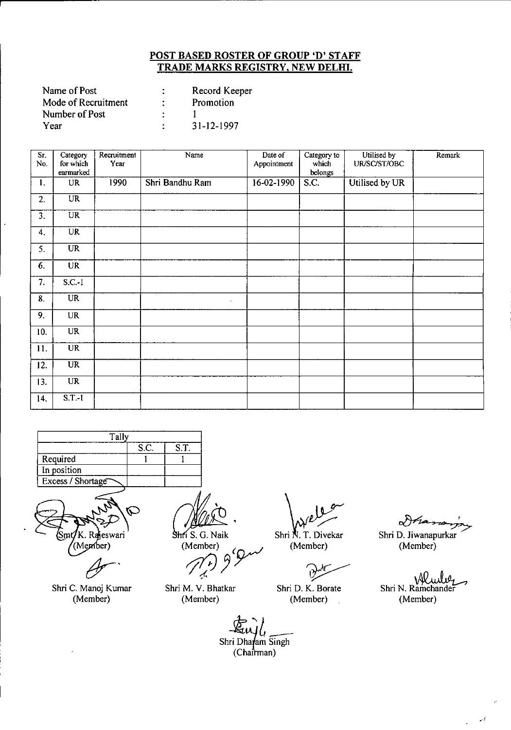| Name of Post        | Record Keeper    |
|---------------------|------------------|
| Mode of Recruitment | Promotion        |
| Number of Post      |                  |
| Year                | $31 - 12 - 1997$ |

| Sr.<br>No. | Category<br>for which | Recruitment<br>Year | Name            | Date of<br>Appointment | Category to<br>which | Utilised by<br>UR/SC/ST/OBC | Remark |
|------------|-----------------------|---------------------|-----------------|------------------------|----------------------|-----------------------------|--------|
|            | earmarked             |                     |                 |                        | belongs              |                             |        |
| 1.         | <b>UR</b>             | 1990                | Shri Bandhu Ram | $16-02-1990$           | S.C.                 | Utilised by UR              |        |
| 2.         | $\overline{UR}$       |                     |                 |                        |                      |                             |        |
| 3.         | <b>UR</b>             |                     |                 |                        |                      |                             |        |
| 4.         | <b>UR</b>             |                     |                 |                        |                      |                             |        |
| 5.         | <b>UR</b>             |                     |                 |                        |                      |                             |        |
| 6.         | <b>UR</b>             |                     |                 |                        |                      |                             |        |
| 7.         | $S.C.-1$              |                     |                 |                        |                      |                             |        |
| 8.         | <b>UR</b>             |                     | $\cdot$         |                        |                      |                             |        |
| 9.         | UR                    |                     |                 |                        |                      |                             |        |
| 10.        | <b>UR</b>             |                     |                 |                        |                      |                             |        |
| 11.        | <b>UR</b>             |                     |                 |                        |                      |                             |        |
| 12.        | <b>UR</b>             |                     |                 |                        |                      |                             |        |
| 13.        | <b>UR</b>             |                     |                 |                        |                      |                             |        |
| 14.        | $S.T.-1$              |                     |                 |                        |                      |                             |        |

| Tally             |  |  |  |  |  |
|-------------------|--|--|--|--|--|
| S.T.<br>S.C.      |  |  |  |  |  |
| Required          |  |  |  |  |  |
| In position       |  |  |  |  |  |
| Excess / Shortage |  |  |  |  |  |
|                   |  |  |  |  |  |

K. Rajeswari<br>(Member)

Shri C. Manoj Kumar (Member)

*n:* 

Shri S. G. Naik<br>
(Member)<br>
(*r*) 9 9 m -f.

Shri M. V. Bhatkar (Member)

Shri N. T. Divekar (Member)

v---

Shri D. K. Borate (Member)

Dría

Shri D. Jiwanapurkar (Member)

Shri N. Ramchander (Member)

 $\mathcal{A}$ J.

*~"l\_* Shri Dha**r**am Singh<br>Chairman)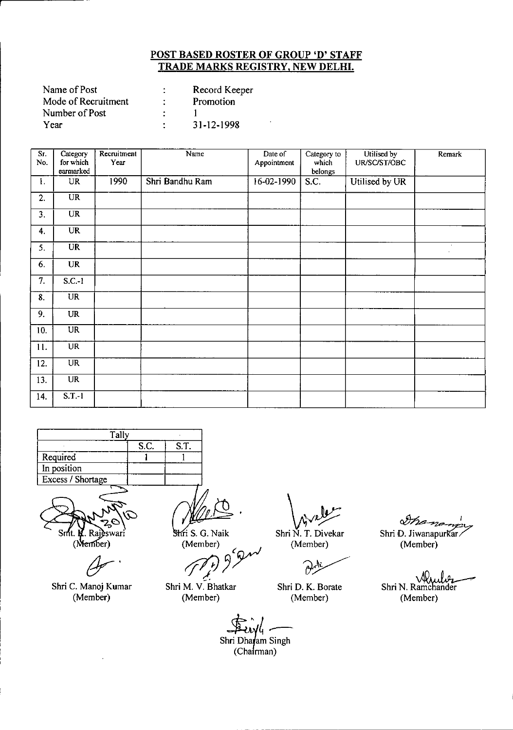| Name of Post        | Record Keeper |
|---------------------|---------------|
| Mode of Recruitment | Promotion     |
| Number of Post      |               |
| Year                | 31-12-1998    |

| $S_{\Gamma}$    | Category               | Recruitment | Name            | Date of      | Category to      | Utilised by    | Remark |
|-----------------|------------------------|-------------|-----------------|--------------|------------------|----------------|--------|
| No.             | for which<br>earmarked | Year        |                 | Appointment  | which<br>belongs | UR/SC/ST/OBC   |        |
|                 |                        |             |                 |              |                  |                |        |
| 1.              | UR                     | 1990        | Shri Bandhu Ram | $16-02-1990$ | S.C.             | Utilised by UR |        |
| 2.              | $\overline{UR}$        |             |                 |              |                  |                |        |
| 3.              | <b>UR</b>              |             |                 |              |                  |                |        |
| 4.              | <b>UR</b>              |             |                 |              |                  |                |        |
| 5.              | $\overline{\text{UR}}$ |             |                 |              |                  |                |        |
| 6.              | <b>UR</b>              |             |                 |              |                  |                |        |
| 7.              | $S.C.-1$               |             |                 |              |                  |                |        |
| 8.              | $\overline{UR}$        |             |                 |              |                  |                |        |
| 9.              | <b>UR</b>              |             |                 |              |                  |                |        |
| 10 <sub>1</sub> | UR                     |             |                 |              |                  |                |        |
| 11.             | <b>UR</b>              |             |                 |              |                  |                |        |
| 12.             | <b>UR</b>              |             |                 |              |                  |                |        |
| 13.             | <b>UR</b>              |             |                 |              |                  |                |        |
| 14.             | S.T.1                  |             |                 |              |                  |                |        |





Shri C. Manoj Kumar (Member)

Fi S. G. Naik Sh<br>(Member)<br> $\sqrt{r}$   $\theta$   $\theta$ !<br>!...

Shri M. V. Bhatkar (Member)

 $\sqrt{v^2}$ Shri N. T. Divekar

(Member)

Shri *D.* K. Borate (Member)

Ina-no Shri D. Jiwanapurkar.

(Member)

Shri N. Ramchander (Member)

First -

 $\frac{1}{2}$ <br>hri  $\Gamma$ (Chairman)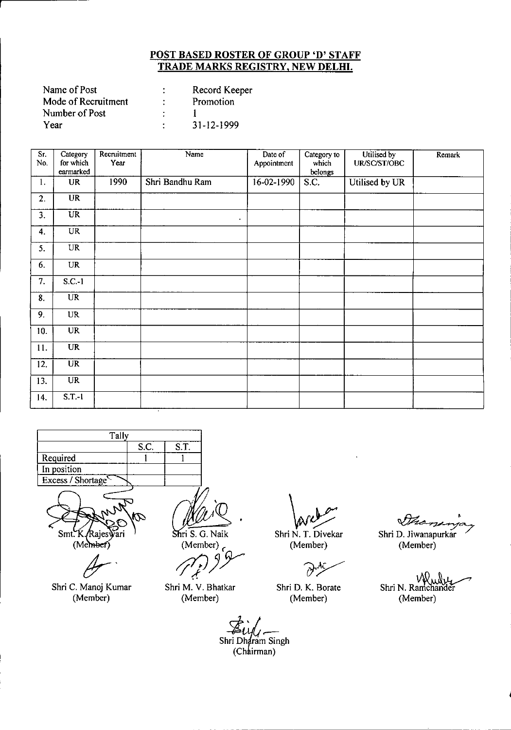| Name of Post        | Record Keeper |
|---------------------|---------------|
| Mode of Recruitment | Promotion     |
| Number of Post      |               |
| Year                | 31-12-1999    |

| Sr.<br>No.       | Category<br>for which  | Recruitment<br>Year | Name            | Date of<br>Appointment | Category to<br>which | Utilised by<br>UR/SC/ST/OBC | Remark |
|------------------|------------------------|---------------------|-----------------|------------------------|----------------------|-----------------------------|--------|
|                  | earmarked              |                     |                 |                        | belongs              |                             |        |
| 1.               | <b>UR</b>              | 1990                | Shri Bandhu Ram | $16-02-1990$           | $\overline{S.C.}$    | Utilised by UR              |        |
| $\overline{2}$ . | <b>UR</b>              |                     |                 |                        |                      |                             |        |
| 3.               | <b>UR</b>              |                     | $\bullet$       |                        |                      |                             |        |
| 4.               | <b>UR</b>              |                     |                 |                        |                      |                             |        |
| 5.               | <b>UR</b>              |                     |                 |                        |                      |                             |        |
| 6.               | <b>UR</b>              |                     |                 |                        |                      |                             |        |
| 7.               | $S.C.-1$               |                     |                 |                        |                      |                             |        |
| 8.               | $\overline{UR}$        |                     |                 |                        |                      |                             |        |
| 9.               | $_{\rm UR}$            |                     |                 |                        |                      |                             |        |
| 10.              | <b>UR</b>              |                     |                 |                        |                      |                             |        |
| 11.              | <b>UR</b>              |                     |                 |                        |                      |                             |        |
| 12.              | $\overline{\text{UR}}$ |                     |                 |                        |                      |                             |        |
| 13.              | <b>UR</b>              |                     |                 |                        |                      |                             |        |
| 14.              | $S.T.-1$               |                     |                 |                        |                      |                             |        |





*Jr'*

Shri C. Manoj Kumar (Member)

 $\mathbb{Z}$  $\overline{\text{Shri S. G. Naik}}$ 

(Member) *c 0J)Y*

Shri M. V. Bhatkar (Member)

 $\sqrt{\lambda/k}$ Shri N. T. Divekar

(Member)

Shri D. K. Borate (Member)

~

Shri D. Jiwanapurkar (Member)

Shri N. Ramchander (Member)

Shri Dharam Singh (Chairman)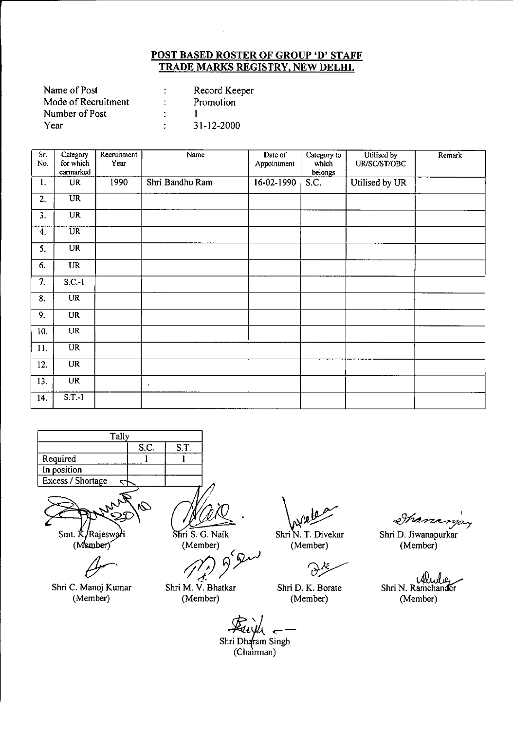| Name of Post        |             | Record Keeper    |
|---------------------|-------------|------------------|
| Mode of Recruitment |             | Promotion        |
| Number of Post      |             |                  |
| Year                | $\bullet$ . | $31 - 12 - 2000$ |

| Sr.<br>No. | Category<br>for which  | Recruitment<br>Year | Name            | Date of<br>Appointment | Category to<br>which | Utilised by<br>UR/SC/ST/OBC | Remark |
|------------|------------------------|---------------------|-----------------|------------------------|----------------------|-----------------------------|--------|
|            | earmarked              |                     |                 |                        | belongs              |                             |        |
| 1.         | <b>UR</b>              | 1990                | Shri Bandhu Ram | 16-02-1990             | S.C.                 | Utilised by UR              |        |
| 2.         | <b>UR</b>              |                     |                 |                        |                      |                             |        |
| 3.         | <b>UR</b>              |                     |                 |                        |                      |                             |        |
| 4.         | UR                     |                     |                 |                        |                      |                             |        |
| 5.         | <b>UR</b>              |                     |                 |                        |                      |                             |        |
| 6.         | <b>UR</b>              |                     |                 |                        |                      |                             |        |
| 7.         | $S.C.-1$               |                     |                 |                        |                      |                             |        |
| 8.         | $\overline{\text{UR}}$ |                     |                 |                        |                      |                             |        |
| 9.         | <b>UR</b>              |                     |                 |                        |                      |                             |        |
| 10.        | <b>UR</b>              |                     |                 |                        |                      |                             |        |
| 11.        | <b>UR</b>              |                     |                 |                        |                      |                             |        |
| 12.        | <b>UR</b>              |                     | $\blacksquare$  |                        |                      |                             |        |
| 13.        | <b>UR</b>              |                     | $\bullet$       |                        |                      |                             |        |
| 14.        | $S.T.-1$               |                     |                 |                        |                      |                             |        |





 $(M$ ember)

Shri C. Manoj Kumar (Member)

Shri S. G. Naik

(Member)

Shri M. V. Bhatkar (Member)

Shri N. T. Divekar

(Member)

Ù

Shri D. K. Borate (Member)

*aiY~~*

Shri D. Jiwanapurkar (Member)

Shri N. Ramchander (Member)

*~'t~* Shri Dh~am Singh

 $(Chairman)$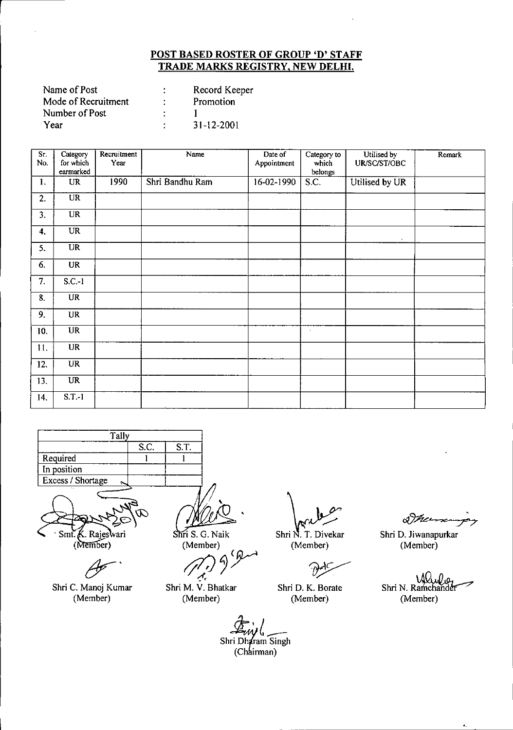| Record Keeper |
|---------------|
| Promotion     |
|               |
| 31-12-2001    |
|               |

| $S_{T}$<br>No.   | Category<br>for which<br>earmarked | Recruitment<br>Year | Name            | Date of<br>Appointment | Category to<br>which<br>belongs | Utilised by<br>UR/SC/ST/OBC | Remark |
|------------------|------------------------------------|---------------------|-----------------|------------------------|---------------------------------|-----------------------------|--------|
| 1.               | <b>UR</b>                          | 1990                | Shri Bandhu Ram | 16-02-1990             | S.C.                            | Utilised by UR              |        |
| 2.               | $\overline{UR}$                    |                     |                 |                        |                                 |                             |        |
| 3.               | $\overline{\text{UR}}$             |                     |                 |                        |                                 |                             |        |
| 4.               | <b>UR</b>                          |                     |                 |                        |                                 | $\sim$                      |        |
| 5.               | $\overline{\text{UR}}$             |                     |                 |                        |                                 |                             |        |
| 6.               | <b>UR</b>                          |                     |                 |                        |                                 |                             |        |
| 7.               | $S.C.-1$                           |                     |                 |                        |                                 |                             |        |
| $\overline{8}$ . | UR                                 |                     |                 |                        |                                 |                             |        |
| 9.               | <b>UR</b>                          |                     |                 |                        |                                 |                             |        |
| 10.              | $\overline{UR}$                    |                     |                 |                        | $\sim$                          |                             |        |
| 11.              | <b>UR</b>                          |                     |                 |                        |                                 |                             |        |
| 12.              | <b>UR</b>                          |                     |                 |                        |                                 |                             |        |
| 13.              | UR                                 |                     |                 |                        |                                 |                             |        |
| 14.              | $S.T.-1$                           |                     |                 |                        |                                 |                             |        |





Shri C. Manoj Kumar (Member)

Shri S. G. Naik (Member)

*01.)* 9 Pm *(f,*

Shri M. V. Bhatkar (Member)

Shri N. T. Divekar (Member)

Shri D. K. Borate (Member)

& Mars

Shri D. Jiwanapurkar (Member)

Shri N. Ramchander (Member)

~ (Ch irman) $\overline{C}$   $\overline{C}$ Shri Dharam Singh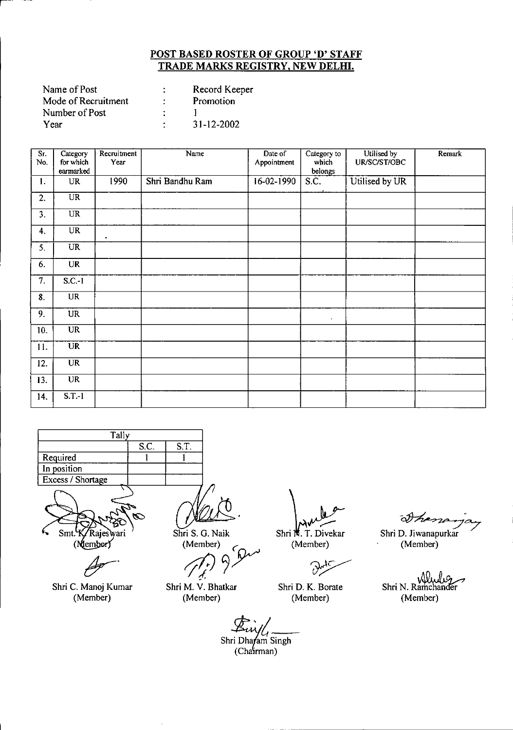|   | Record Keeper    |
|---|------------------|
|   | Promotion        |
|   |                  |
| ٠ | $31 - 12 - 2002$ |
|   |                  |

| Sr.<br>No. | Category<br>for which  | Recruitment<br>Year | Name            | Date of<br>Appointment | Category to<br>which | Utilised by<br>UR/SC/ST/OBC | Remark |
|------------|------------------------|---------------------|-----------------|------------------------|----------------------|-----------------------------|--------|
|            | earmarked              |                     |                 |                        | belongs              |                             |        |
| 1.         | <b>UR</b>              | 1990                | Shri Bandhu Ram | 16-02-1990             | S.C.                 | Utilised by UR              |        |
| 2.         | <b>UR</b>              |                     |                 |                        |                      |                             |        |
| 3.         | <b>UR</b>              |                     |                 |                        |                      |                             |        |
| 4.         | <b>UR</b>              | $\bullet$           |                 |                        |                      |                             |        |
| 5.         | <b>UR</b>              |                     |                 |                        |                      |                             |        |
| 6.         | <b>UR</b>              |                     |                 |                        |                      |                             |        |
| 7.         | $S.C.-1$               |                     |                 |                        |                      |                             |        |
| 8.         | $\overline{UR}$        |                     |                 |                        |                      |                             |        |
| 9.         | <b>UR</b>              |                     |                 |                        | $\cdot$              |                             |        |
| 10.        | <b>UR</b>              |                     |                 |                        |                      |                             |        |
| 11.        | <b>UR</b>              |                     |                 |                        |                      |                             |        |
| 12.        | <b>UR</b>              |                     |                 |                        |                      |                             |        |
| 13.        | $\overline{\text{UR}}$ |                     |                 |                        |                      |                             |        |
| 14.        | S.T.1                  |                     |                 |                        |                      |                             |        |





Shri C. Manoj Kumar (Member)

Shri S. G. Naik

(Member) Member)<br>(1) 9 Du<sup>1</sup><br>W.W. N. N.

Shri M. V. Bhatkar (Member)

Shri<sup>14</sup>. T. Divekar

(Member)

Shri D. K. Borate (Member)

 $\frac{1}{2}$  Shri D. Jiwanapurkar

(Member)

Shri N. Ramchander (Member)

Shri Dhafam Singh (Chairman)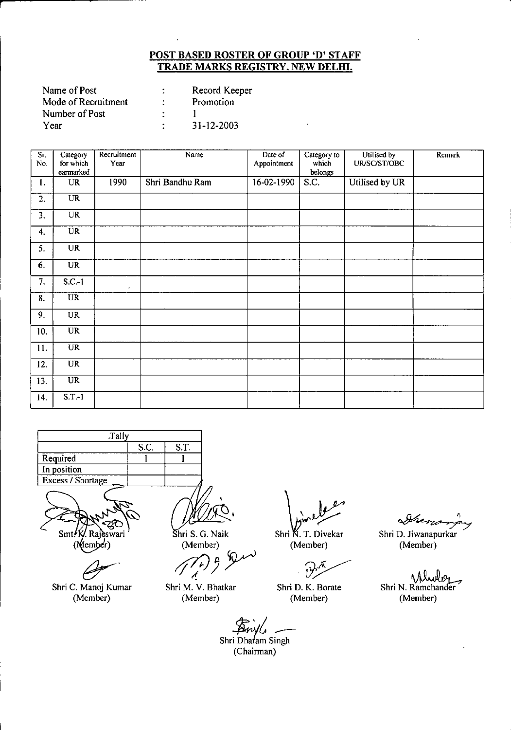| Name of Post        | Record Keeper |
|---------------------|---------------|
| Mode of Recruitment | Promotion     |
| Number of Post      |               |
| Year                | 31-12-2003    |

| Sr.<br>No.                | Category<br>for which | Recruitment<br>Year | Name            | Date of<br>Appointment | Category to<br>which | Utilised by<br>UR/SC/ST/OBC | Remark |
|---------------------------|-----------------------|---------------------|-----------------|------------------------|----------------------|-----------------------------|--------|
|                           | earmarked             |                     |                 |                        | <b>belongs</b>       |                             |        |
| 1.                        | UR                    | 1990                | Shri Bandhu Ram | 16-02-1990             | $\overline{S.C.}$    | Utilised by UR              |        |
| 2.                        | <b>UR</b>             |                     |                 |                        |                      |                             |        |
| 3.                        | <b>UR</b>             |                     |                 |                        |                      |                             |        |
| 4.                        | <b>UR</b>             |                     |                 |                        |                      |                             |        |
| 5.                        | <b>UR</b>             |                     |                 |                        |                      |                             |        |
| 6.                        | <b>UR</b>             |                     |                 |                        |                      |                             |        |
| 7.                        | $S.C.-1$              | $\cdot$             |                 |                        |                      |                             |        |
| $\overline{\mathbf{8}}$ . | <b>UR</b>             |                     |                 |                        |                      |                             |        |
| 9.                        | <b>UR</b>             |                     |                 |                        |                      |                             |        |
| 10.                       | <b>UR</b>             |                     |                 |                        |                      |                             |        |
| 11.                       | <b>UR</b>             |                     |                 |                        |                      |                             |        |
| 12.                       | <b>UR</b>             |                     |                 |                        |                      |                             |        |
| 13.                       | <b>UR</b>             |                     |                 |                        |                      |                             |        |
| 14.                       | $S.T.-1$              |                     |                 |                        |                      |                             |        |





~.

Shri C. Manoj Kumar (Member)

hri S. G. Naik (Member)

*/f7jJpY*

Shri M. V. Bhatkar (Member)

Shri K. T. Divekar (Member)

Shri D. K. Borate (Member)

Arena  $\rightarrow$ 

Shri D. Jiwanapurkar (Member)

Shri N. Ramchander (Member)

*~:i \_*

Shri Dhafam Singh (Chairman)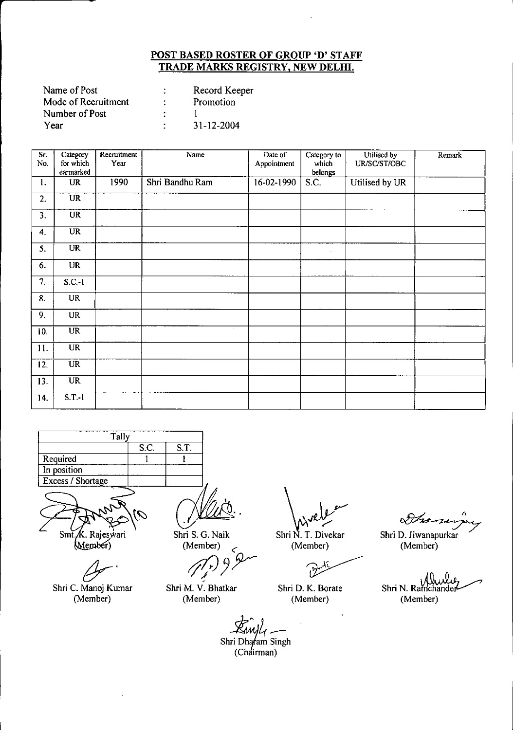| Record Keeper |
|---------------|
| Promotion     |
|               |
| 31-12-2004    |
|               |

| Sr.<br>No. | Category<br>for which  | Recruitment<br>Year | Name            | Date of<br>Appointment | Category to<br>which | Utilised by<br>UR/SC/ST/OBC | Remark |
|------------|------------------------|---------------------|-----------------|------------------------|----------------------|-----------------------------|--------|
|            | earmarked              |                     |                 |                        | belongs              |                             |        |
| 1.         | <b>UR</b>              | 1990                | Shri Bandhu Ram | 16-02-1990             | $\overline{S.C.}$    | Utilised by UR              |        |
| 2.         | <b>UR</b>              |                     |                 |                        |                      |                             |        |
| 3.         | <b>UR</b>              |                     |                 |                        |                      |                             |        |
| 4.         | <b>UR</b>              |                     |                 |                        |                      |                             |        |
| 5.         | UR                     |                     |                 |                        | $\sim$               |                             |        |
| 6.         | <b>UR</b>              |                     |                 |                        |                      |                             |        |
| 7.         | $S.C.-1$               |                     |                 |                        |                      |                             |        |
| 8.         | <b>UR</b>              |                     |                 |                        |                      |                             |        |
| 9.         | <b>UR</b>              |                     |                 |                        |                      |                             |        |
| 10.        | <b>UR</b>              |                     | $\sim$          |                        |                      |                             |        |
| 11.        | <b>UR</b>              |                     |                 |                        |                      |                             |        |
| 12.        | $\overline{\text{UR}}$ |                     |                 |                        |                      |                             |        |
| 13.        | $\overline{\text{UR}}$ |                     |                 |                        |                      |                             |        |
| 14.        | $S.T.-1$               |                     |                 |                        |                      |                             |        |





(Member)

*6r'*

Shri C. Manoj Kumar (Member)

Shri S. G. Naik (Member)

*S. G. Naik*<br>Member)<br> *((r)* 9 P

Shri M. V. Bhatkar (Member)

Shri N. T. Divekar Shri D. Jiv<br>Shri N. T. Divekar Shri D. Jiv<br>(Member) (Mem

(Member)

Shri D. K. Borate (Member)

z.

Shri D. Jiwanapurkar (Member)

Shri N. Ramchander فبللد (Member)

Ewyl<sub>1</sub><br>Shri Dharam Singh

rı Dharam S<br>(Chairman)